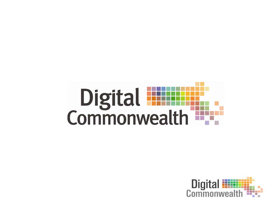

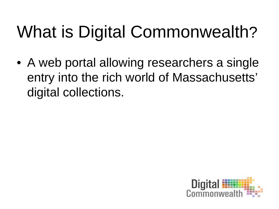# What is Digital Commonwealth?

• A web portal allowing researchers a single entry into the rich world of Massachusetts' digital collections.

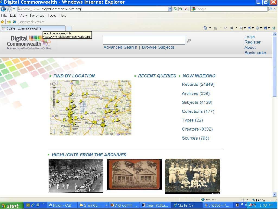

#### - HIGHLIGHTS FROM THE ARCHIVES

医心理

**U** start

Millinoox - Out



國:mail Inctitu...

■ 2 Windo... → 图 Digi Comm ...

@ Internet

号 Untitled - P...

 $C$ Digital Com

● 1 ● 125% →

**0 : 089 189 M**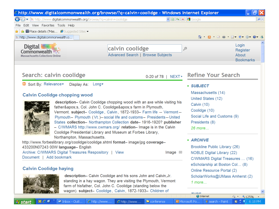| a ><br>http://www.digitalcommonwealth.org/browse/?q=calvin+coolidge - Windows Internet Explorer                                                                                                                                                                                                                                                                                                                                                                                                                                                                                                                                                                                                                                                                                                                                                                                 |                                                             |                                                                                                                                                                                                                                                                                                                                           |                                           |                                                                                                                                                                                                                                                                 |
|---------------------------------------------------------------------------------------------------------------------------------------------------------------------------------------------------------------------------------------------------------------------------------------------------------------------------------------------------------------------------------------------------------------------------------------------------------------------------------------------------------------------------------------------------------------------------------------------------------------------------------------------------------------------------------------------------------------------------------------------------------------------------------------------------------------------------------------------------------------------------------|-------------------------------------------------------------|-------------------------------------------------------------------------------------------------------------------------------------------------------------------------------------------------------------------------------------------------------------------------------------------------------------------------------------------|-------------------------------------------|-----------------------------------------------------------------------------------------------------------------------------------------------------------------------------------------------------------------------------------------------------------------|
| $\sqrt{8} \cdot \sqrt{4} \cdot \sqrt{2} \cdot \sqrt{2}$                                                                                                                                                                                                                                                                                                                                                                                                                                                                                                                                                                                                                                                                                                                                                                                                                         |                                                             |                                                                                                                                                                                                                                                                                                                                           |                                           | $\rho$ .                                                                                                                                                                                                                                                        |
| Edit View Favorites Tools Help                                                                                                                                                                                                                                                                                                                                                                                                                                                                                                                                                                                                                                                                                                                                                                                                                                                  |                                                             |                                                                                                                                                                                                                                                                                                                                           |                                           |                                                                                                                                                                                                                                                                 |
| $\bigstar$ $\bigstar$ $\blacksquare$ Place details ('Mas $\bigcirc$ Suggested Sites $\rightarrow$                                                                                                                                                                                                                                                                                                                                                                                                                                                                                                                                                                                                                                                                                                                                                                               |                                                             |                                                                                                                                                                                                                                                                                                                                           |                                           |                                                                                                                                                                                                                                                                 |
| ili http://www.digitalcommonwealth.o<br>A N ⊡ ⊜) D + Ø + Ø + Ø + 3                                                                                                                                                                                                                                                                                                                                                                                                                                                                                                                                                                                                                                                                                                                                                                                                              |                                                             |                                                                                                                                                                                                                                                                                                                                           |                                           |                                                                                                                                                                                                                                                                 |
| Digital <b>illi</b><br>Commonwealth<br><b>Massachusetts Collections Online</b>                                                                                                                                                                                                                                                                                                                                                                                                                                                                                                                                                                                                                                                                                                                                                                                                  | calvin coolidge<br><b>Advanced Search   Browse Subjects</b> |                                                                                                                                                                                                                                                                                                                                           | ېر                                        | Login<br>Register<br>About<br><b>Bookmarks</b>                                                                                                                                                                                                                  |
| Search: calvin coolidge<br>0-20 of 78   NEXT ▶                                                                                                                                                                                                                                                                                                                                                                                                                                                                                                                                                                                                                                                                                                                                                                                                                                  |                                                             |                                                                                                                                                                                                                                                                                                                                           | <b>Refine Your Search</b>                 |                                                                                                                                                                                                                                                                 |
| Sort By: Relevance<br>Display As: Long<br><b>Calvin Coolidge chopping wood</b><br>description- Calvin Coolidge chopping wood with an axe while visiting his<br>father's, Col. John C. Coolidge's farm in Plymouth,<br>Vermont. subject- Coolidge, Calvin, 1872-1933- Farm life -- Vermont--<br>Plymouth- Plymouth (Vt.)-- social life and customs- Presidents-- United<br>States collection- Northampton Collection date-1916-1920? publisher<br>- C/WMARS http://www.cwmars.org/ relation- Image is in the Calvin<br>Coolidge Presidential Library and Museum at Forbes Library,<br>Northampton, Massachusetts.<br>http://www.forbeslibrary.org/coolidge/coolidge.shtml format- image/jpg coverage-<br>433200N07243 00W language- English<br>Archive: C/WMARS Digital Treasures Respository   View<br>Image $\Box$<br>Document   Add bookmark<br><b>Calvin Coolidge haying</b> |                                                             | - SUBJECT<br>Massachusetts (14)<br>United States (12)<br>Calvin $(10)$<br>Coolidge (10)<br>Social Life and Customs (9)<br>Presidents (8)<br>26 more<br>- ARCHIVE<br>Brookline Public Library (26)<br><b>NOBLE Digital Library (22)</b><br>C/WMARS Digital Treasures  (16)<br>eScholarship at Boston Col (8)<br>Online Resource Portal (2) |                                           |                                                                                                                                                                                                                                                                 |
|                                                                                                                                                                                                                                                                                                                                                                                                                                                                                                                                                                                                                                                                                                                                                                                                                                                                                 |                                                             |                                                                                                                                                                                                                                                                                                                                           |                                           | description- Calvin Coolidge and his sons John and Calvin, Jr.<br>standing in a hay wagon. They are visiting the Plymouth, Vermont<br>farm of hisfather, Col. John C. Coolidge (standing below the<br>wagon). subject- Coolidge, Calvin, 1872-1933- Children of |
| $\mathfrak{D} \subset \mathfrak{G}$<br>G Inbox - Outl<br>$\epsilon$ http://www<br><b>N</b> start                                                                                                                                                                                                                                                                                                                                                                                                                                                                                                                                                                                                                                                                                                                                                                                | $C$ http://www<br>Conference                                |                                                                                                                                                                                                                                                                                                                                           | <b>回</b> Microsoft Po<br>V search - Paint | $\frac{1}{2}$ $\frac{125\%}{2}$<br>$\Box$ $\Box$ $\Box$ 6:18 PM                                                                                                                                                                                                 |

*<b>H* start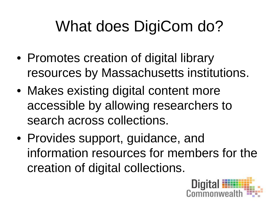# What does DigiCom do?

- Promotes creation of digital library resources by Massachusetts institutions.
- Makes existing digital content more accessible by allowing researchers to search across collections.
- Provides support, guidance, and information resources for members for the creation of digital collections.

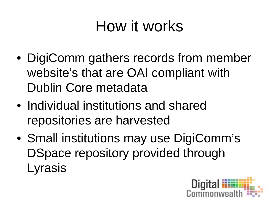#### How it works

- DigiComm gathers records from member website's that are OAI compliant with Dublin Core metadata
- Individual institutions and shared repositories are harvested
- Small institutions may use DigiComm's DSpace repository provided through Lyrasis

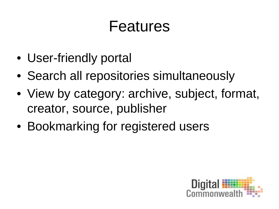#### Features

- User-friendly portal
- Search all repositories simultaneously
- View by category: archive, subject, format, creator, source, publisher
- Bookmarking for registered users

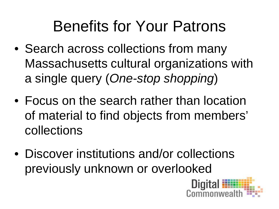#### Benefits for Your Patrons

- Search across collections from many Massachusetts cultural organizations with a single query (*One-stop shopping*)
- Focus on the search rather than location of material to find objects from members' collections
- Discover institutions and/or collections previously unknown or overlooked

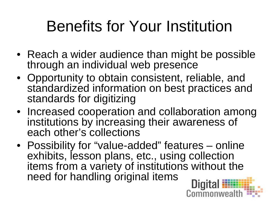# Benefits for Your Institution

- Reach a wider audience than might be possible through an individual web presence
- Opportunity to obtain consistent, reliable, and standardized information on best practices and standards for digitizing
- Increased cooperation and collaboration among institutions by increasing their awareness of each other's collections
- Possibility for "value-added" features online exhibits, lesson plans, etc., using collection items from a variety of institutions without the need for handling original items**Digit**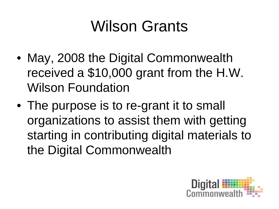### Wilson Grants

- May, 2008 the Digital Commonwealth received a \$10,000 grant from the H.W. Wilson Foundation
- The purpose is to re-grant it to small organizations to assist them with getting starting in contributing digital materials to the Digital Commonwealth

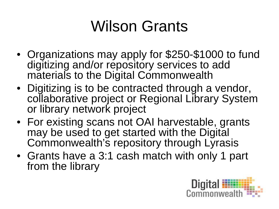#### Wilson Grants

- Organizations may apply for \$250-\$1000 to fund digitizing and/or repository services to add materials to the Digital Commonwealth
- Digitizing is to be contracted through a vendor, collaborative project or Regional Library System or library network project
- For existing scans not OAI harvestable, grants may be used to get started with the Digital Commonwealth's repository through Lyrasis
- Grants have a 3:1 cash match with only 1 part from the library

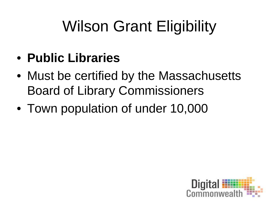- **Public Libraries**
- Must be certified by the Massachusetts Board of Library Commissioners
- Town population of under 10,000

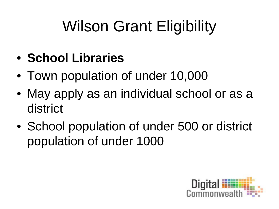- **School Libraries**
- Town population of under 10,000
- May apply as an individual school or as a district
- School population of under 500 or district population of under 1000

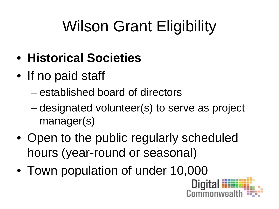- **Historical Societies**
- If no paid staff
	- established board of directors
	- designated volunteer(s) to serve as project manager(s)
- Open to the public regularly scheduled hours (year-round or seasonal)
- Town population of under 10,000

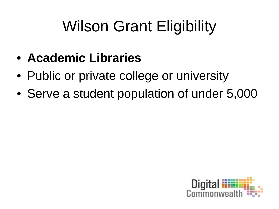- **Academic Libraries**
- Public or private college or university
- Serve a student population of under 5,000

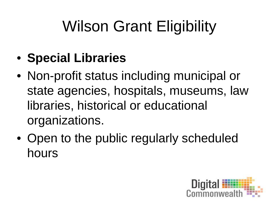- **Special Libraries**
- Non-profit status including municipal or state agencies, hospitals, museums, law libraries, historical or educational organizations.
- Open to the public regularly scheduled hours

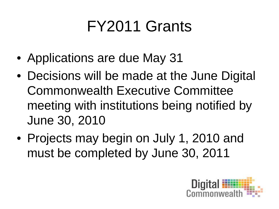# FY2011 Grants

- Applications are due May 31
- Decisions will be made at the June Digital Commonwealth Executive Committee meeting with institutions being notified by June 30, 2010
- Projects may begin on July 1, 2010 and must be completed by June 30, 2011

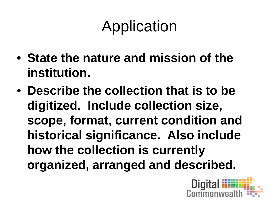# Application

- **State the nature and mission of the institution.**
- **Describe the collection that is to be digitized. Include collection size, scope, format, current condition and historical significance. Also include how the collection is currently organized, arranged and described.**

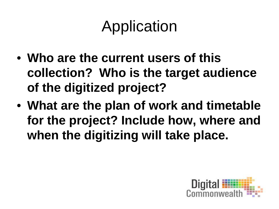# Application

- **Who are the current users of this collection? Who is the target audience of the digitized project?**
- **What are the plan of work and timetable for the project? Include how, where and when the digitizing will take place.**

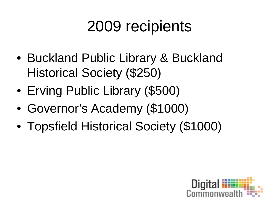#### 2009 recipients

- Buckland Public Library & Buckland Historical Society (\$250)
- Erving Public Library (\$500)
- Governor's Academy (\$1000)
- Topsfield Historical Society (\$1000)

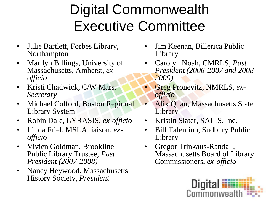#### Digital Commonwealth Executive Committee

- Julie Bartlett, Forbes Library, Northampton
- Marilyn Billings, University of Massachusetts, Amherst, *ex- officio*
- Kristi Chadwick, C/W Mars, *Secretary*
- Michael Colford, Boston Regional Library System
- Robin Dale, LYRASIS, *ex-officio*
- Linda Friel, MSLA liaison, *ex- officio*
- Vivien Goldman, Brookline Public Library Trustee, *Past President (2007-2008)*
- Nancy Heywood, Massachusetts History Society, *President*
- Jim Keenan, Billerica Public Library
- Carolyn Noah, CMRLS, *Past President (2006-2007 and 2008- 2009)*
- Greg Pronevitz, NMRLS, *ex- officio*
- Alix Quan, Massachusetts State Library
- Kristin Slater, SAILS, Inc.
- Bill Talentino, Sudbury Public Library
- Gregor Trinkaus-Randall, Massachusetts Board of Library Commissioners, *ex-officio*